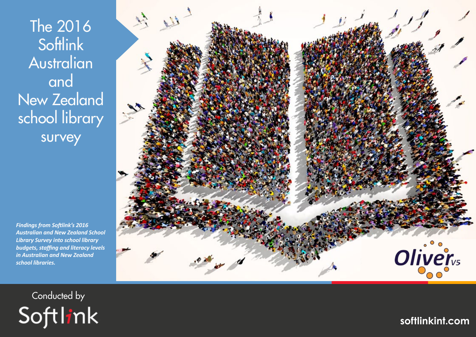The 2016 **Softlink** Australian and New Zealand school library survey

*Findings from Softlink's 2016 Australian and New Zealand School Library Survey into school library budgets, staffing and literacy levels in Australian and New Zealand school libraries.*



Conducted by Softlink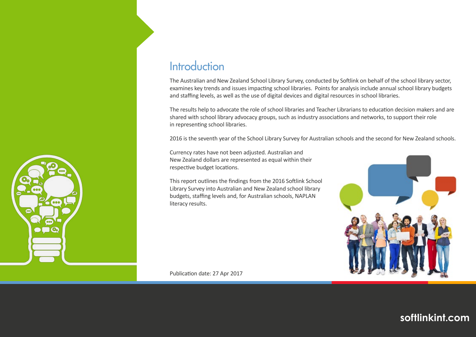

## **Introduction**

The Australian and New Zealand School Library Survey, conducted by Softlink on behalf of the school library sector, examines key trends and issues impacting school libraries. Points for analysis include annual school library budgets and staffing levels, as well as the use of digital devices and digital resources in school libraries.

The results help to advocate the role of school libraries and Teacher Librarians to education decision makers and are shared with school library advocacy groups, such as industry associations and networks, to support their role in representing school libraries.

2016 is the seventh year of the School Library Survey for Australian schools and the second for New Zealand schools.

Currency rates have not been adjusted. Australian and New Zealand dollars are represented as equal within their respective budget locations.

This report outlines the findings from the 2016 Softlink School Library Survey into Australian and New Zealand school library budgets, staffing levels and, for Australian schools, NAPLAN literacy results.



Publication date: 27 Apr 2017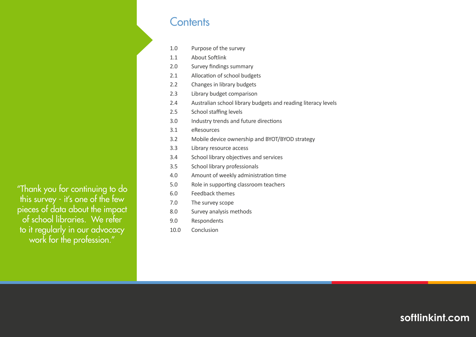## **Contents**

- 1.0 Purpose of the survey
- 1.1 About Softlink
- 2.0 Survey findings summary
- 2.1 Allocation of school budgets
- 2.2 Changes in library budgets
- 2.3 Library budget comparison
- 2.4 Australian school library budgets and reading literacy levels
- 2.5 School staffing levels
- 3.0 Industry trends and future directions
- 3.1 eResources
- 3.2 Mobile device ownership and BYOT/BYOD strategy
- 3.3 Library resource access
- 3.4 School library objectives and services
- 3.5 School library professionals
- 4.0 Amount of weekly administration time
- 5.0 Role in supporting classroom teachers
- 6.0 Feedback themes
- 7.0 The survey scope
- 8.0 Survey analysis methods
- 9.0 Respondents
- 10.0 Conclusion

"Thank you for continuing to do this survey - it's one of the few pieces of data about the impact of school libraries. We refer to it regularly in our advocacy work for the profession."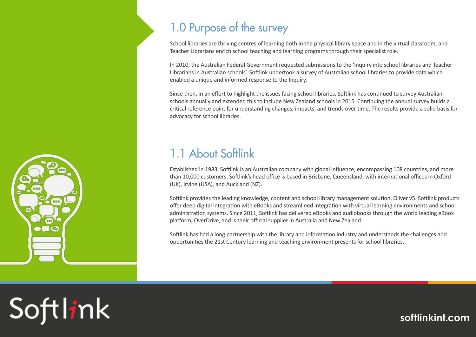

# 1.0 Purpose of the survey

School libraries are thriving centres of learning both in the physical library space and in the virtual classroom, and Teacher Librarians enrich school teaching and learning programs through their specialist role.

In 2010, the Australian Federal Government requested submissions to the 'Inquiry into school libraries and Teacher Librarians in Australian schools'. Softlink undertook a survey of Australian school libraries to provide data which enabled a unique and informed response to the Inquiry.

Since then, in an effort to highlight the issues facing school libraries, Softlink has continued to survey Australian schools annually and extended this to include New Zealand schools in 2015. Continuing the annual survey builds a critical reference point for understanding changes, impacts, and trends over time. The results provide a solid basis for advocacy for school libraries.

# 1.1 About Softlink

Established in 1983, Softlink is an Australian company with global influence, encompassing 108 countries, and more than 10,000 customers. Softlink's head office is based in Brisbane, Queensland, with international offices in Oxford (UK), Irvine (USA), and Auckland (NZ).

Softlink provides the leading knowledge, content and school library management solution, Oliver v5. Softlink products offer deep digital integration with eBooks and streamlined integration with virtual learning environments and school administration systems. Since 2011, Softlink has delivered eBooks and audiobooks through the world leading eBook platform, OverDrive, and is their official supplier in Australia and New Zealand.

Softlink has had a long partnership with the library and information industry and understands the challenges and opportunities the 21st Century learning and teaching environment presents for school libraries.

# Softlink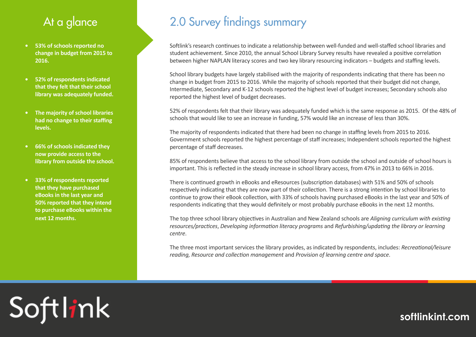# At a glance

- **• 53% of schools reported no change in budget from 2015 to 2016.**
- **• 52% of respondents indicated that they felt that their school library was adequately funded.**
- **• The majority of school libraries had no change to their staffing levels.**
- **• 66% of schools indicated they now provide access to the library from outside the school.**
- **• 33% of respondents reported that they have purchased eBooks in the last year and 50% reported that they intend to purchase eBooks within the next 12 months.**

# 2.0 Survey findings summary

Softlink's research continues to indicate a relationship between well-funded and well-staffed school libraries and student achievement. Since 2010, the annual School Library Survey results have revealed a positive correlation between higher NAPLAN literacy scores and two key library resourcing indicators – budgets and staffing levels.

School library budgets have largely stabilised with the majority of respondents indicating that there has been no change in budget from 2015 to 2016. While the majority of schools reported that their budget did not change, Intermediate, Secondary and K-12 schools reported the highest level of budget increases; Secondary schools also reported the highest level of budget decreases.

52% of respondents felt that their library was adequately funded which is the same response as 2015. Of the 48% of schools that would like to see an increase in funding, 57% would like an increase of less than 30%.

The majority of respondents indicated that there had been no change in staffing levels from 2015 to 2016. Government schools reported the highest percentage of staff increases; Independent schools reported the highest percentage of staff decreases.

85% of respondents believe that access to the school library from outside the school and outside of school hours is important. This is reflected in the steady increase in school library access, from 47% in 2013 to 66% in 2016.

There is continued growth in eBooks and eResources (subscription databases) with 51% and 50% of schools respectively indicating that they are now part of their collection. There is a strong intention by school libraries to continue to grow their eBook collection, with 33% of schools having purchased eBooks in the last year and 50% of respondents indicating that they would definitely or most probably purchase eBooks in the next 12 months.

The top three school library objectives in Australian and New Zealand schools are *Aligning curriculum with existing resources/practices*, *Developing information literacy programs* and *Refurbishing/updating the library or learning centre*.

The three most important services the library provides, as indicated by respondents, includes: *Recreational/leisure reading, Resource and collection management* and *Provision of learning centre and space*.

# Softlink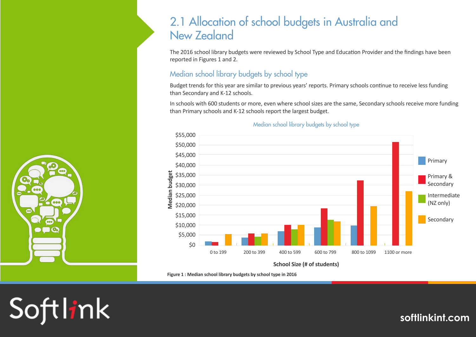## 2.1 Allocation of school budgets in Australia and New Zealand

The 2016 school library budgets were reviewed by School Type and Education Provider and the findings have been reported in Figures 1 and 2.

#### Median school library budgets by school type

Budget trends for this year are similar to previous years' reports. Primary schools continue to receive less funding than Secondary and K-12 schools.

In schools with 600 students or more, even where school sizes are the same, Secondary schools receive more funding than Primary schools and K-12 schools report the largest budget.



#### Median school library budgets by school type

**Figure 1 : Median school library budgets by school type in 2016**



Softlink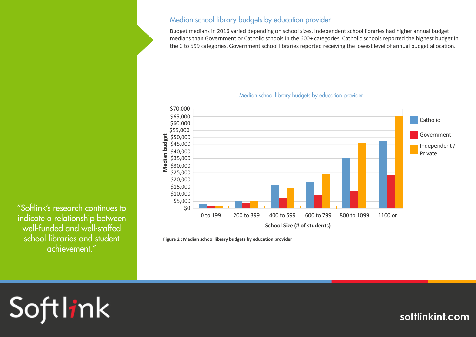#### Median school library budgets by education provider

Budget medians in 2016 varied depending on school sizes. Independent school libraries had higher annual budget medians than Government or Catholic schools in the 600+ categories, Catholic schools reported the highest budget in the 0 to 599 categories. Government school libraries reported receiving the lowest level of annual budget allocation.

#### Median school library budgets by education provider



**Figure 2 : Median school library budgets by education provider**

"Softlink's research continues to indicate a relationship between well-funded and well-staffed school libraries and student achievement."

# Softlink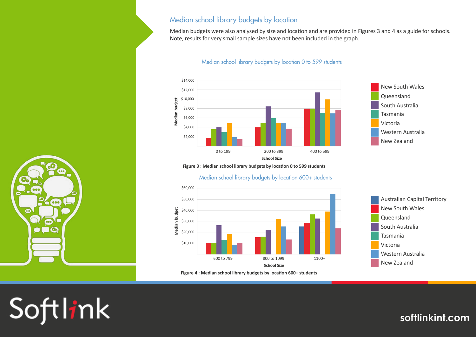#### Median school library budgets by location

Median budgets were also analysed by size and location and are provided in Figures 3 and 4 as a guide for schools. Note, results for very small sample sizes have not been included in the graph.

#### Median school library budgets by location 0 to 599 students



**Figure 3 : Median school library budgets by location 0 to 599 students**

Median school library budgets by location 600+ students



**Figure 4 : Median school library budgets by location 600+ students**



New Zealand

Softlink

 $\circ$ 

 $000$ 

 $\overline{500}$  $\overline{\odot}$ 

 $\bullet$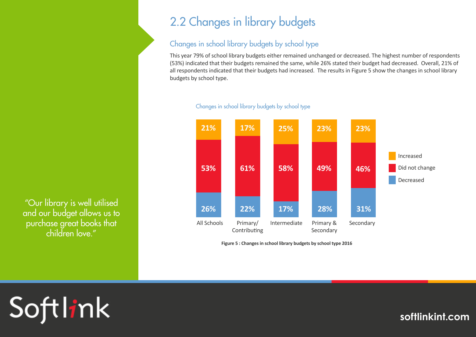# 2.2 Changes in library budgets

### Changes in school library budgets by school type

This year 79% of school library budgets either remained unchanged or decreased. The highest number of respondents (53%) indicated that their budgets remained the same, while 26% stated their budget had decreased. Overall, 21% of all respondents indicated that their budgets had increased. The results in Figure 5 show the changes in school library budgets by school type.



#### Changes in school library budgets by school type

**Figure 5 : Changes in school library budgets by school type 2016** 

"Our library is well utilised and our budget allows us to purchase great books that children love."

# Softlink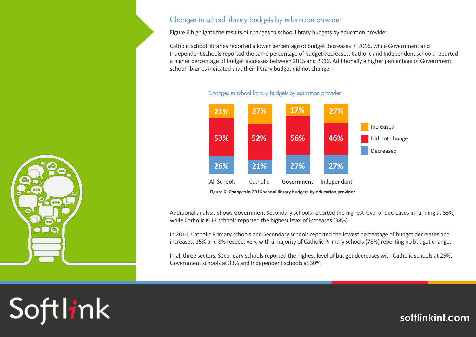#### Changes in school library budgets by education provider

Figure 6 highlights the results of changes to school library budgets by education provider.

Catholic school libraries reported a lower percentage of budget decreases in 2016, while Government and Independent schools reported the same percentage of budget decreases. Catholic and Independent schools reported a higher percentage of budget increases between 2015 and 2016. Additionally a higher percentage of Government school libraries indicated that their library budget did not change.



#### Changes in school library budgets by education provider

**Figure 6: Changes in 2016 school library budgets by education provider** 

Additional analysis shows Government Secondary schools reported the highest level of decreases in funding at 33%, while Catholic K-12 schools reported the highest level of increases (38%).

In 2016, Catholic Primary schools and Secondary schools reported the lowest percentage of budget decreases and increases, 15% and 8% respectively, with a majority of Catholic Primary schools (78%) reporting no budget change.

In all three sectors, Secondary schools reported the highest level of budget decreases with Catholic schools at 25%, Government schools at 33% and Independent schools at 30%.



Softlink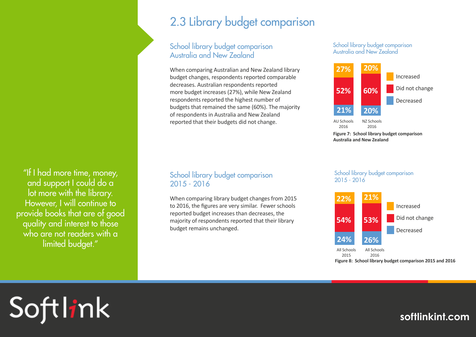"If I had more time, money, and support I could do a lot more with the library. However, I will continue to provide books that are of good quality and interest to those who are not readers with a limited budget."

# 2.3 Library budget comparison

#### School library budget comparison Australia and New Zealand

When comparing Australian and New Zealand library budget changes, respondents reported comparable decreases. Australian respondents reported more budget increases (27%), while New Zealand respondents reported the highest number of budgets that remained the same (60%). The majority of respondents in Australia and New Zealand reported that their budgets did not change.

#### School library budget comparison 2015 - 2016

When comparing library budget changes from 2015 to 2016, the figures are very similar. Fewer schools reported budget increases than decreases, the majority of respondents reported that their library budget remains unchanged.

School library budget comparison Australia and New Zealand



**Figure 7: School library budget comparison Australia and New Zealand**

School library budget comparison 2015 - 2016



**Figure 8: School library budget comparison 2015 and 2016**

# Softlink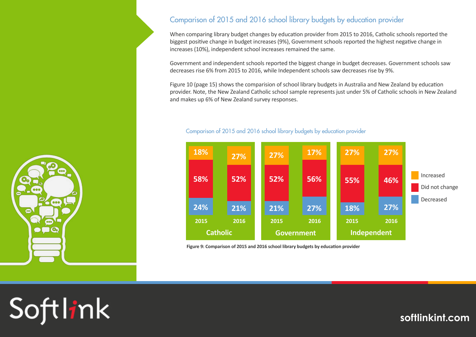

 $000$ 

 $000$ 

 $\odot$ 

 $\bullet$ 

#### Comparison of 2015 and 2016 school library budgets by education provider

When comparing library budget changes by education provider from 2015 to 2016, Catholic schools reported the biggest positive change in budget increases (9%), Government schools reported the highest negative change in increases (10%), independent school increases remained the same.

Government and independent schools reported the biggest change in budget decreases. Government schools saw decreases rise 6% from 2015 to 2016, while Independent schools saw decreases rise by 9%.

Figure 10 (page 15) shows the comparision of school library budgets in Australia and New Zealand by education provider. Note, the New Zealand Catholic school sample represents just under 5% of Catholic schools in New Zealand and makes up 6% of New Zealand survey responses.



#### Comparison of 2015 and 2016 school library budgets by education provider

**Figure 9: Comparison of 2015 and 2016 school library budgets by education provider**

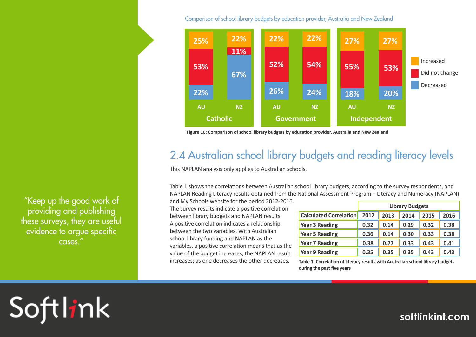Comparison of school library budgets by education provider, Australia and New Zealand



**Figure 10: Comparison of school library budgets by education provider, Australia and New Zealand**

## 2.4 Australian school library budgets and reading literacy levels

This NAPLAN analysis only applies to Australian schools.

Table 1 shows the correlations between Australian school library budgets, according to the survey respondents, and NAPLAN Reading Literacy results obtained from the National Assessment Program – Literacy and Numeracy (NAPLAN)

and My Schools website for the period 2012-2016. The survey results indicate a positive correlation between library budgets and NAPLAN results. A positive correlation indicates a relationship between the two variables. With Australian school library funding and NAPLAN as the variables, a positive correlation means that as the value of the budget increases, the NAPLAN result increases; as one decreases the other decreases.

|                               | <b>Library Budgets</b> |      |      |      |      |
|-------------------------------|------------------------|------|------|------|------|
| <b>Calculated Correlation</b> | 2012                   | 2013 | 2014 | 2015 | 2016 |
| <b>Year 3 Reading</b>         | 0.32                   | 0.14 | 0.29 | 0.32 | 0.38 |
| <b>Year 5 Reading</b>         | 0.36                   | 0.14 | 0.30 | 0.33 | 0.38 |
| <b>Year 7 Reading</b>         | 0.38                   | 0.27 | 0.33 | 0.43 | 0.41 |
| <b>Year 9 Reading</b>         | 0.35                   | 0.35 | 0.35 | 0.43 | 0.43 |

**Table 1: Correlation of literacy results with Australian school library budgets during the past five years**

"Keep up the good work of providing and publishing these surveys, they are useful evidence to argue specific cases."

# Softlink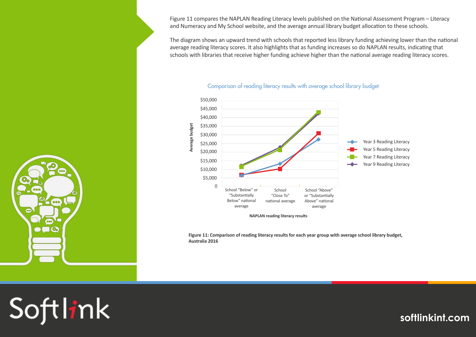Figure 11 compares the NAPLAN Reading Literacy levels published on the National Assessment Program – Literacy and Numeracy and My School website, and the average annual library budget allocation to these schools.

The diagram shows an upward trend with schools that reported less library funding achieving lower than the national average reading literacy scores. It also highlights that as funding increases so do NAPLAN results, indicating that schools with libraries that receive higher funding achieve higher than the national average reading literacy scores.



#### Comparison of reading literacy results with average school library budget

**Figure 11: Comparison of reading literacy results for each year group with average school library budget, Australia 2016**



Softlink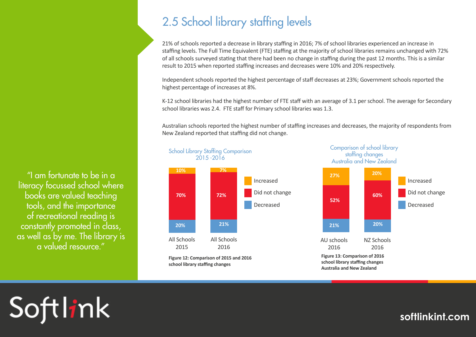"I am fortunate to be in a literacy focussed school where books are valued teaching tools, and the importance of recreational reading is constantly promoted in class, as well as by me. The library is a valued resource."

# 2.5 School library staffing levels

21% of schools reported a decrease in library staffing in 2016; 7% of school libraries experienced an increase in staffing levels. The Full Time Equivalent (FTE) staffing at the majority of school libraries remains unchanged with 72% of all schools surveyed stating that there had been no change in staffing during the past 12 months. This is a similar result to 2015 when reported staffing increases and decreases were 10% and 20% respectively.

Independent schools reported the highest percentage of staff decreases at 23%; Government schools reported the highest percentage of increases at 8%.

K-12 school libraries had the highest number of FTE staff with an average of 3.1 per school. The average for Secondary school libraries was 2.4. FTE staff for Primary school libraries was 1.3.

Australian schools reported the highest number of staffing increases and decreases, the majority of respondents from New Zealand reported that staffing did not change.



Comparison of school library staffing changes Australia and New Zealand



# Softlink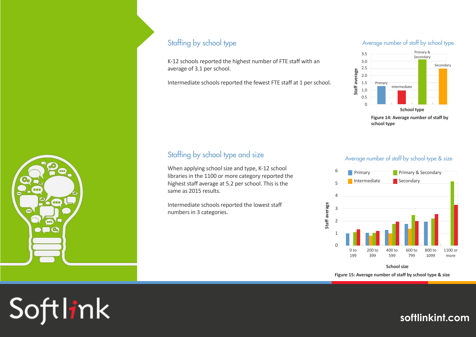

Softlink

#### Staffing by school type

K-12 schools reported the highest number of FTE staff with an average of 3.1 per school.

Intermediate schools reported the fewest FTE staff at 1 per school.

#### Average number of staff by school type



## Staffing by school type and size Average number of staff by school type & size

When applying school size and type, K-12 school 6 Figure 2012 Frimary Condary Recondary libraries in the 1100 or more category reported the highest staff average at 5.2 per school. This is the same as 2015 results.

Intermediate schools reported the lowest staff numbers in 3 categories.



**School size**

**Figure 15: Average number of staff by school type & size**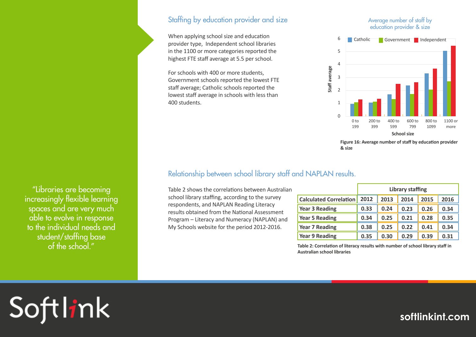"Libraries are becoming increasingly flexible learning spaces and are very much able to evolve in response to the individual needs and student/staffing base of the school."

#### Staffing by education provider and size

When applying school size and education provider type, Independent school libraries in the 1100 or more categories reported the highest FTE staff average at 5.5 per school.

For schools with 400 or more students, Government schools reported the lowest FTE staff average; Catholic schools reported the lowest staff average in schools with less than 400 students.

#### Average number of staff by education provider & size



**Figure 16: Average number of staff by education provider & size**

#### Relationship between school library staff and NAPLAN results.

Table 2 shows the correlations between Australian school library staffing, according to the survey respondents, and NAPLAN Reading Literacy results obtained from the National Assessment Program – Literacy and Numeracy (NAPLAN) and My Schools website for the period 2012-2016.

|                               | <b>Library staffing</b> |      |      |      |      |
|-------------------------------|-------------------------|------|------|------|------|
| <b>Calculated Correlation</b> | 2012                    | 2013 | 2014 | 2015 | 2016 |
| <b>Year 3 Reading</b>         | 0.33                    | 0.24 | 0.23 | 0.26 | 0.34 |
| <b>Year 5 Reading</b>         | 0.34                    | 0.25 | 0.21 | 0.28 | 0.35 |
| <b>Year 7 Reading</b>         | 0.38                    | 0.25 | 0.22 | 0.41 | 0.34 |
| Year 9 Reading                | 0.35                    | 0.30 | 0.29 | 0.39 | 0.31 |

**Table 2: Correlation of literacy results with number of school library staff in Australian school libraries** 

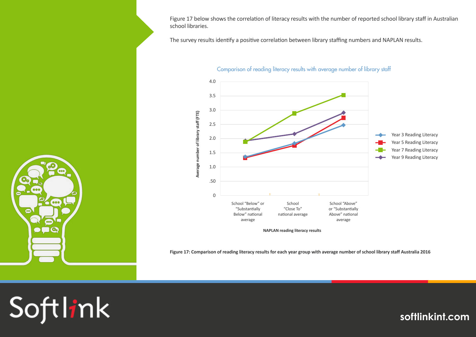Figure 17 below shows the correlation of literacy results with the number of reported school library staff in Australian school libraries.

The survey results identify a positive correlation between library staffing numbers and NAPLAN results.



Comparison of reading literacy results with average number of library staff

**Figure 17: Comparison of reading literacy results for each year group with average number of school library staff Australia 2016**



# Softlink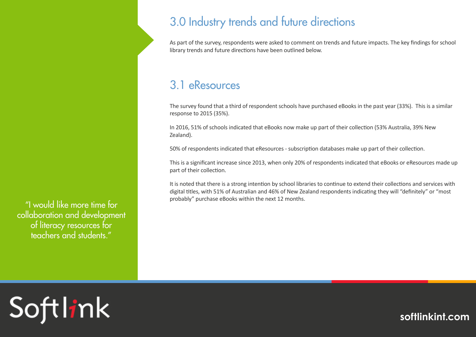### "I would like more time for collaboration and development of literacy resources for teachers and students."

Softlink

# 3.0 Industry trends and future directions

As part of the survey, respondents were asked to comment on trends and future impacts. The key findings for school library trends and future directions have been outlined below.

## 3.1 eResources

The survey found that a third of respondent schools have purchased eBooks in the past year (33%). This is a similar response to 2015 (35%).

In 2016, 51% of schools indicated that eBooks now make up part of their collection (53% Australia, 39% New Zealand).

50% of respondents indicated that eResources - subscription databases make up part of their collection.

This is a significant increase since 2013, when only 20% of respondents indicated that eBooks or eResources made up part of their collection.

It is noted that there is a strong intention by school libraries to continue to extend their collections and services with digital titles, with 51% of Australian and 46% of New Zealand respondents indicating they will "definitely" or "most probably" purchase eBooks within the next 12 months.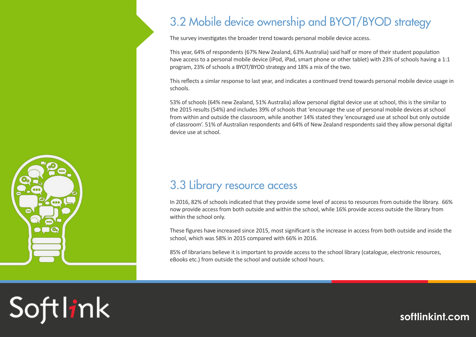# 3.2 Mobile device ownership and BYOT/BYOD strategy

The survey investigates the broader trend towards personal mobile device access.

This year, 64% of respondents (67% New Zealand, 63% Australia) said half or more of their student population have access to a personal mobile device (iPod, iPad, smart phone or other tablet) with 23% of schools having a 1:1 program, 23% of schools a BYOT/BYOD strategy and 18% a mix of the two.

This reflects a simlar response to last year, and indicates a continued trend towards personal mobile device usage in schools.

53% of schools (64% new Zealand, 51% Australia) allow personal digital device use at school, this is the similar to the 2015 results (54%) and includes 39% of schools that 'encourage the use of personal mobile devices at school from within and outside the classroom, while another 14% stated they 'encouraged use at school but only outside of classroom'. 51% of Australian respondents and 64% of New Zealand respondents said they allow personal digital device use at school.

# 3.3 Library resource access

In 2016, 82% of schools indicated that they provide some level of access to resources from outside the library. 66% now provide access from both outside and within the school, while 16% provide access outside the library from within the school only.

These figures have increased since 2015, most significant is the increase in access from both outside and inside the school, which was 58% in 2015 compared with 66% in 2016.

85% of librarians believe it is important to provide access to the school library (catalogue, electronic resources, eBooks etc.) from outside the school and outside school hours.



Softlink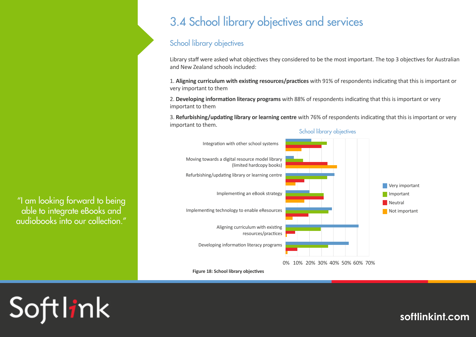# 3.4 School library objectives and services

#### School library objectives

Library staff were asked what objectives they considered to be the most important. The top 3 objectives for Australian and New Zealand schools included:

1. **Aligning curriculum with existing resources/practices** with 91% of respondents indicating that this is important or very important to them

2. **Developing information literacy programs** with 88% of respondents indicating that this is important or very important to them

3. **Refurbishing/updating library or learning centre** with 76% of respondents indicating that this is important or very important to them.





"I am looking forward to being able to integrate eBooks and audiobooks into our collection."

**Figure 18: School library objectives**

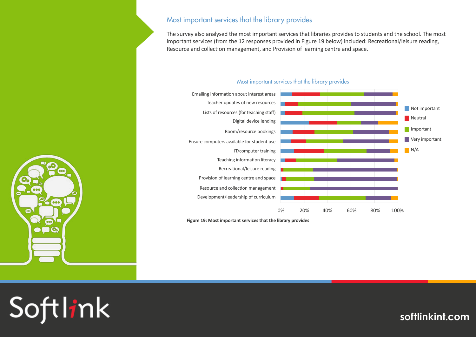#### Most important services that the library provides

The survey also analysed the most important services that libraries provides to students and the school. The most important services (from the 12 responses provided in Figure 19 below) included: Recreational/leisure reading, Resource and collection management, and Provision of learning centre and space.



Most important services that the library provides

**Figure 19: Most important services that the library provides**



Softlink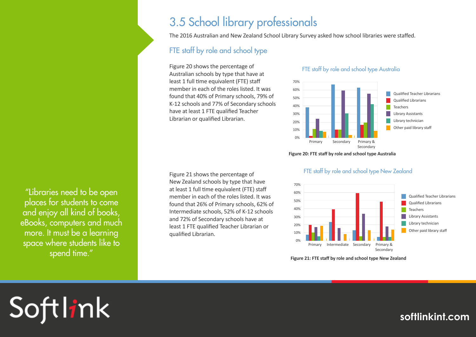## 3.5 School library professionals

The 2016 Australian and New Zealand School Library Survey asked how school libraries were staffed.

### FTE staff by role and school type

Figure 20 shows the percentage of Australian schools by type that have at least 1 full time equivalent (FTE) staff member in each of the roles listed. It was found that 40% of Primary schools, 79% of K-12 schools and 77% of Secondary schools have at least 1 FTE qualified Teacher Librarian or qualified Librarian.

#### FTE staff by role and school type Australia



**Figure 20: FTE staff by role and school type Australia**



#### FTE staff by role and school type New Zealand

**Figure 21: FTE staff by role and school type New Zealand**

"Libraries need to be open places for students to come and enjoy all kind of books, eBooks, computers and much more. It must be a learning space where students like to spend time."

Softlink

Figure 21 shows the percentage of New Zealand schools by type that have at least 1 full time equivalent (FTE) staff member in each of the roles listed. It was found that 26% of Primary schools, 62% of Intermediate schools, 52% of K-12 schools and 72% of Secondary schools have at least 1 FTE qualified Teacher Librarian or qualified Librarian.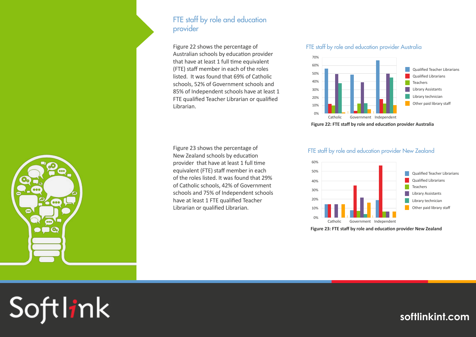#### FTE staff by role and education provider

Figure 22 shows the percentage of Australian schools by education provider that have at least 1 full time equivalent (FTE) staff member in each of the roles listed. It was found that 69% of Catholic schools, 52% of Government schools and 85% of Independent schools have at least 1 FTE qualified Teacher Librarian or qualified Librarian.

#### Figure 23 shows the percentage of New Zealand schools by education provider that have at least 1 full time equivalent (FTE) staff member in each of the roles listed. It was found that 29% of Catholic schools, 42% of Government schools and 75% of Independent schools have at least 1 FTE qualified Teacher Librarian or qualified Librarian.

#### FTE staff by role and education provider Australia



**Figure 22: FTE staff by role and education provider Australia**

#### FTE staff by role and education provider New Zealand



**Figure 23: FTE staff by role and education provider New Zealand**

Softlink

 $000$ 

 $000$ 

 $\bullet$ 

 $\bullet$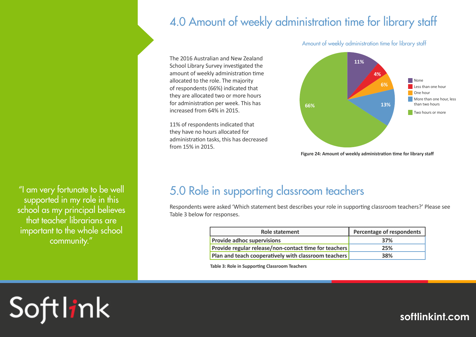# 4.0 Amount of weekly administration time for library staff

The 2016 Australian and New Zealand School Library Survey investigated the amount of weekly administration time allocated to the role. The majority of respondents (66%) indicated that they are allocated two or more hours for administration per week. This has increased from 64% in 2015.

11% of respondents indicated that they have no hours allocated for administration tasks, this has decreased from 15% in 2015.

**None** Less than one hour One hour More than one hour, less than two hours **Two hours or more 4% 6% 66% 13% 11%**

Amount of weekly administration time for library staff

None Less than an hour **Figure 24: Amount of weekly administration time for library staff**

"I am very fortunate to be well supported in my role in this school as my principal believes that teacher librarians are important to the whole school community."

# 5.0 Role in supporting classroom teachers

Respondents were asked 'Which statement best describes your role in supporting classroom teachers?' Please see Table 3 below for responses.

| Role statement                                        | Percentage of respondents |  |
|-------------------------------------------------------|---------------------------|--|
| <b>Provide adhoc supervisions</b>                     | 37%                       |  |
| Provide regular release/non-contact time for teachers | 25%                       |  |
| Plan and teach cooperatively with classroom teachers  | 38%                       |  |

**Table 3: Role in Supporting Classroom Teachers**

Softlink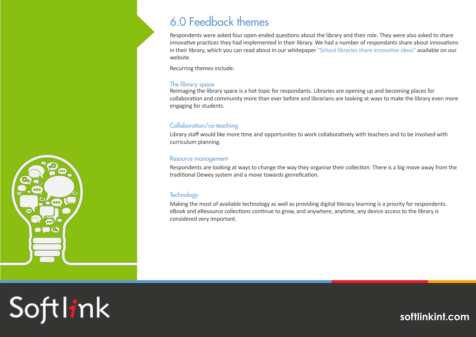

# 6.0 Feedback themes

Respondents were asked four open-ended questions about the library and their role. They were also asked to share innovative practices they had implemented in their library. We had a number of respondants share about innovations in their library, which you can read about in our whitepaper "[School libraries share innovative i](http://www.softlinkint.com/downloads/School_Libraries_Share_Innovative_Ideas.pdf)deas" available on our website.

Recurring themes include:

#### The library space

Reimaging the library space is a hot topic for respondants. Libraries are opening up and becoming places for collaboration and community more than ever before and librarians are looking at ways to make the library even more engaging for students.

#### Collaboration/co-teaching

Library staff would like more time and opportunites to work collaboratively with teachers and to be involved with curriculum planning.

#### Resource management

Respondents are looking at ways to change the way they organise their collection. There is a big move away from the traditional Dewey system and a move towards genrefication.

#### **Technology**

Making the most of available technology as well as providing digital literacy learning is a priority for respondents. eBook and eResource collections continue to grow, and anywhere, anytime, any device access to the library is considered very important.

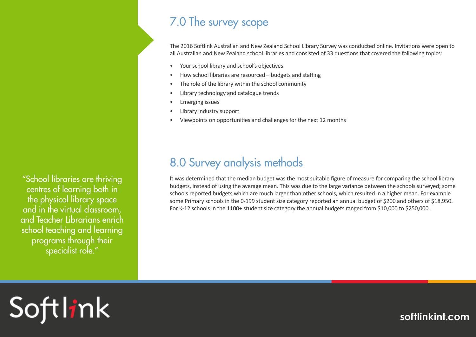# 7.0 The survey scope

The 2016 Softlink Australian and New Zealand School Library Survey was conducted online. Invitations were open to all Australian and New Zealand school libraries and consisted of 33 questions that covered the following topics:

- Your school library and school's objectives
- How school libraries are resourced budgets and staffing
- The role of the library within the school community
- Library technology and catalogue trends
- Emerging issues
- Library industry support
- Viewpoints on opportunities and challenges for the next 12 months

# 8.0 Survey analysis methods

It was determined that the median budget was the most suitable figure of measure for comparing the school library budgets, instead of using the average mean. This was due to the large variance between the schools surveyed; some schools reported budgets which are much larger than other schools, which resulted in a higher mean. For example some Primary schools in the 0-199 student size category reported an annual budget of \$200 and others of \$18,950. For K-12 schools in the 1100+ student size category the annual budgets ranged from \$10,000 to \$250,000.

"School libraries are thriving centres of learning both in the physical library space and in the virtual classroom, and Teacher Librarians enrich school teaching and learning programs through their specialist role."

# Softlink